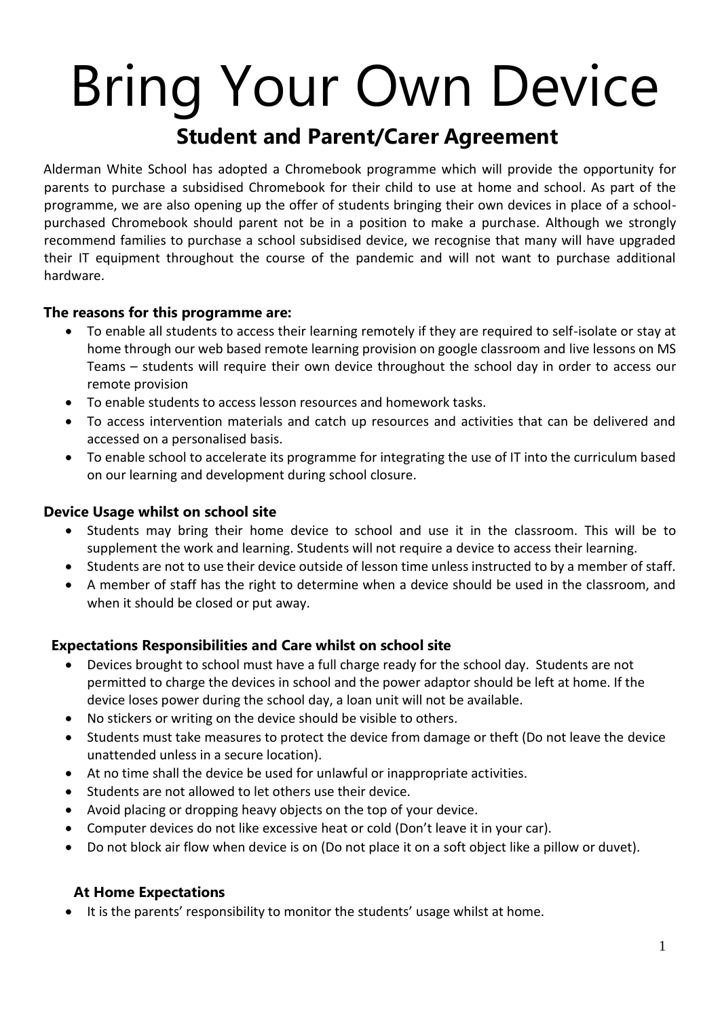# Bring Your Own Device **Student and Parent/Carer Agreement**

Alderman White School has adopted a Chromebook programme which will provide the opportunity for parents to purchase a subsidised Chromebook for their child to use at home and school. As part of the programme, we are also opening up the offer of students bringing their own devices in place of a schoolpurchased Chromebook should parent not be in a position to make a purchase. Although we strongly recommend families to purchase a school subsidised device, we recognise that many will have upgraded their IT equipment throughout the course of the pandemic and will not want to purchase additional hardware.

#### **The reasons for this programme are:**

- To enable all students to access their learning remotely if they are required to self-isolate or stay at home through our web based remote learning provision on google classroom and live lessons on MS Teams – students will require their own device throughout the school day in order to access our remote provision
- To enable students to access lesson resources and homework tasks.
- To access intervention materials and catch up resources and activities that can be delivered and accessed on a personalised basis.
- To enable school to accelerate its programme for integrating the use of IT into the curriculum based on our learning and development during school closure.

#### **Device Usage whilst on school site**

- Students may bring their home device to school and use it in the classroom. This will be to supplement the work and learning. Students will not require a device to access their learning.
- Students are not to use their device outside of lesson time unless instructed to by a member of staff.
- A member of staff has the right to determine when a device should be used in the classroom, and when it should be closed or put away.

#### **Expectations Responsibilities and Care whilst on school site**

- Devices brought to school must have a full charge ready for the school day. Students are not permitted to charge the devices in school and the power adaptor should be left at home. If the device loses power during the school day, a loan unit will not be available.
- No stickers or writing on the device should be visible to others.
- Students must take measures to protect the device from damage or theft (Do not leave the device unattended unless in a secure location).
- At no time shall the device be used for unlawful or inappropriate activities.
- Students are not allowed to let others use their device.
- Avoid placing or dropping heavy objects on the top of your device.
- Computer devices do not like excessive heat or cold (Don't leave it in your car).
- Do not block air flow when device is on (Do not place it on a soft object like a pillow or duvet).

#### **At Home Expectations**

• It is the parents' responsibility to monitor the students' usage whilst at home.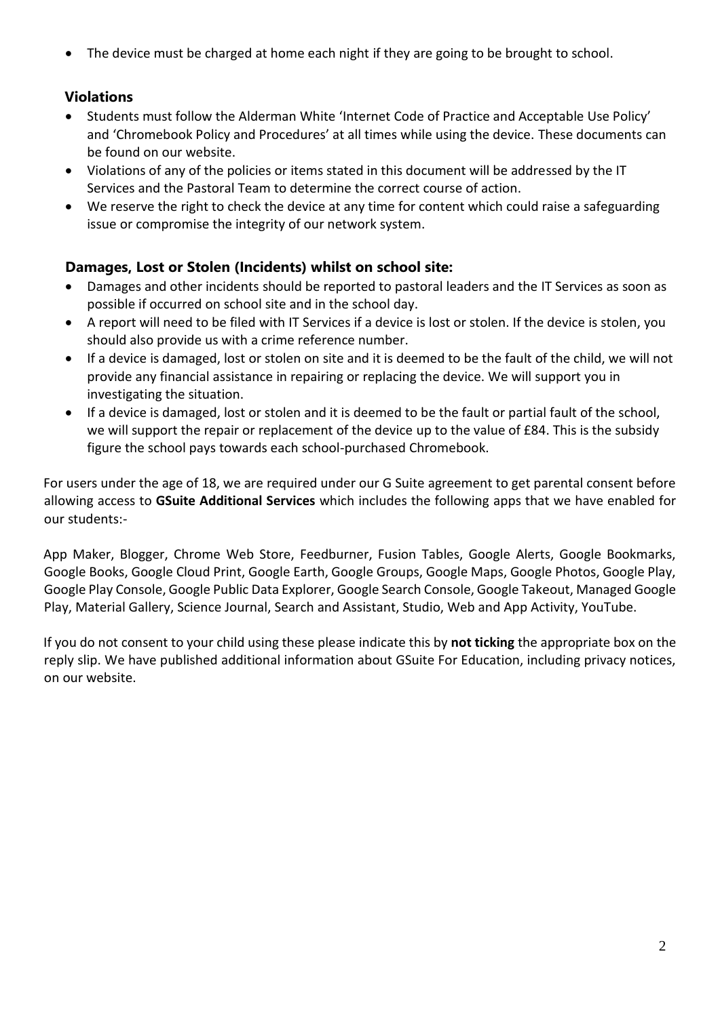• The device must be charged at home each night if they are going to be brought to school.

## **Violations**

- Students must follow the Alderman White 'Internet Code of Practice and Acceptable Use Policy' and 'Chromebook Policy and Procedures' at all times while using the device. These documents can be found on our website.
- Violations of any of the policies or items stated in this document will be addressed by the IT Services and the Pastoral Team to determine the correct course of action.
- We reserve the right to check the device at any time for content which could raise a safeguarding issue or compromise the integrity of our network system.

#### **Damages, Lost or Stolen (Incidents) whilst on school site:**

- Damages and other incidents should be reported to pastoral leaders and the IT Services as soon as possible if occurred on school site and in the school day.
- A report will need to be filed with IT Services if a device is lost or stolen. If the device is stolen, you should also provide us with a crime reference number.
- If a device is damaged, lost or stolen on site and it is deemed to be the fault of the child, we will not provide any financial assistance in repairing or replacing the device. We will support you in investigating the situation.
- If a device is damaged, lost or stolen and it is deemed to be the fault or partial fault of the school, we will support the repair or replacement of the device up to the value of £84. This is the subsidy figure the school pays towards each school-purchased Chromebook.

For users under the age of 18, we are required under our G Suite agreement to get parental consent before allowing access to **GSuite Additional Services** which includes the following apps that we have enabled for our students:-

App Maker, Blogger, Chrome Web Store, Feedburner, Fusion Tables, Google Alerts, Google Bookmarks, Google Books, Google Cloud Print, Google Earth, Google Groups, Google Maps, Google Photos, Google Play, Google Play Console, Google Public Data Explorer, Google Search Console, Google Takeout, Managed Google Play, Material Gallery, Science Journal, Search and Assistant, Studio, Web and App Activity, YouTube.

If you do not consent to your child using these please indicate this by **not ticking** the appropriate box on the reply slip. We have published additional information about GSuite For Education, including privacy notices, on our website.